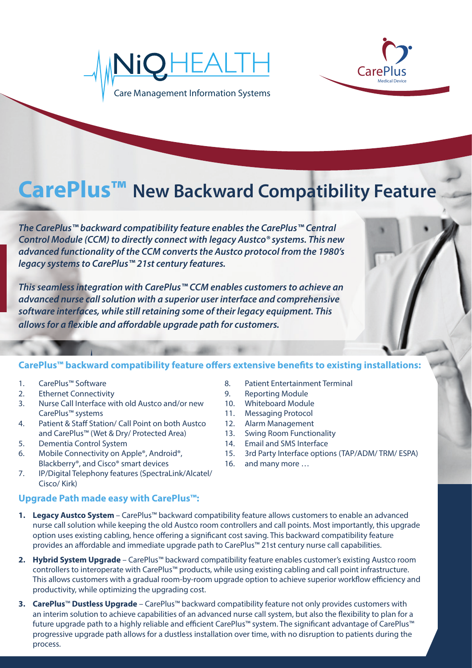



## **CarePlus™ New Backward Compatibility Feature**

*The CarePlus™ backward compatibility feature enables the CarePlus™ Central Control Module (CCM) to directly connect with legacy Austco® systems. This new advanced functionality of the CCM converts the Austco protocol from the 1980's legacy systems to CarePlus™ 21st century features.* 

*This seamless integration with CarePlus™ CCM enables customers to achieve an advanced nurse call solution with a superior user interface and comprehensive software interfaces, while still retaining some of their legacy equipment. This*  allows for a flexible and affordable upgrade path for customers.

## CarePlus<sup>™</sup> backward compatibility feature offers extensive benefits to existing installations:

## 1. CarePlus™ Software

- 2. Ethernet Connectivity
- 3. Nurse Call Interface with old Austco and/or new CarePlus™ systems
- 4. Patient & Staff Station/ Call Point on both Austco and CarePlus™ (Wet & Dry/ Protected Area)
- 5. Dementia Control System
- 6. Mobile Connectivity on Apple®, Android®, Blackberry®, and Cisco® smart devices
- 7. IP/Digital Telephony features (SpectraLink/Alcatel/ Cisco/ Kirk)
- 8. Patient Entertainment Terminal 9. Reporting Module
- 10. Whiteboard Module
- 11. Messaging Protocol
- 12. Alarm Management
- 13. Swing Room Functionality
- 14. Email and SMS Interface
- 15. 3rd Party Interface options (TAP/ADM/ TRM/ ESPA)
- 16. and many more …
- **Upgrade Path made easy with CarePlus™:**
- **1. Legacy Austco System**  CarePlus™ backward compatibility feature allows customers to enable an advanced nurse call solution while keeping the old Austco room controllers and call points. Most importantly, this upgrade option uses existing cabling, hence offering a significant cost saving. This backward compatibility feature provides an affordable and immediate upgrade path to CarePlus™ 21st century nurse call capabilities.
- **2. Hybrid System Upgrade** CarePlus™ backward compatibility feature enables customer's existing Austco room controllers to interoperate with CarePlus™ products, while using existing cabling and call point infrastructure. This allows customers with a gradual room-by-room upgrade option to achieve superior workflow efficiency and productivity, while optimizing the upgrading cost.
- **3. CarePlus**™ **Dustless Upgrade** CarePlus™ backward compatibility feature not only provides customers with an interim solution to achieve capabilities of an advanced nurse call system, but also the flexibility to plan for a future upgrade path to a highly reliable and efficient CarePlus™ system. The significant advantage of CarePlus™ progressive upgrade path allows for a dustless installation over time, with no disruption to patients during the process.